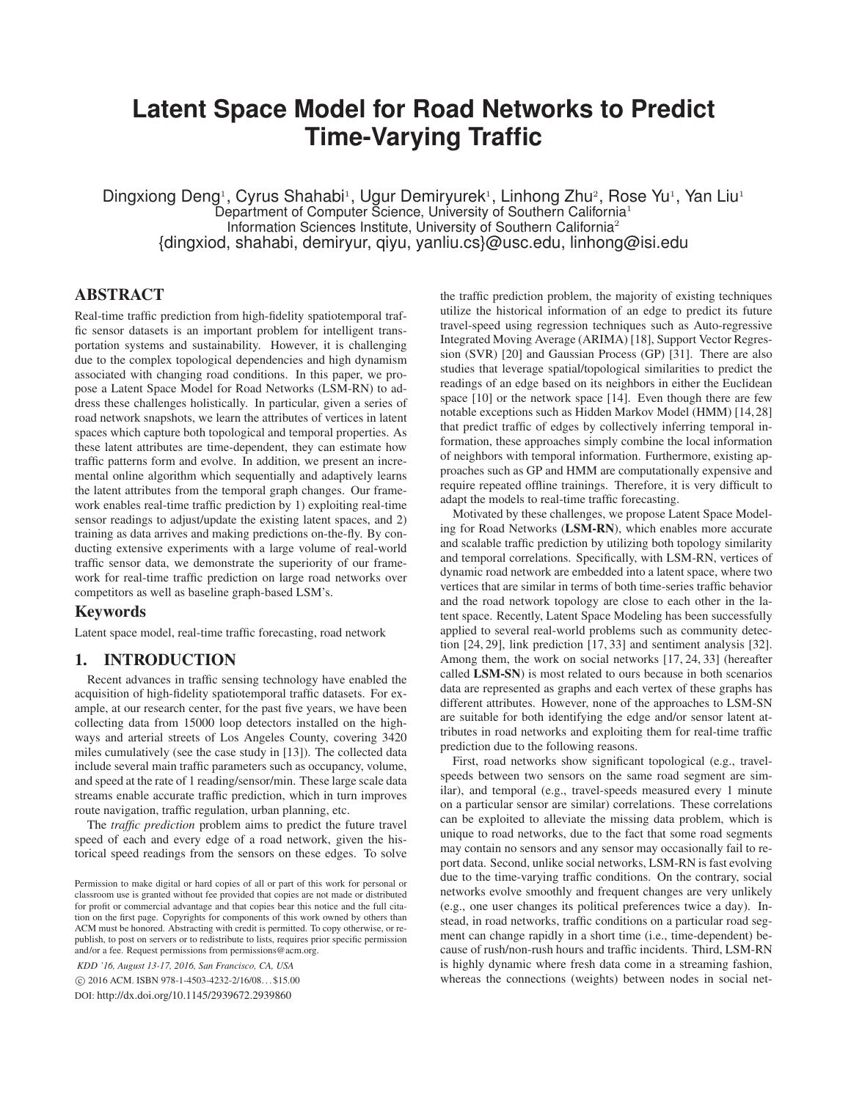# **Latent Space Model for Road Networks to Predict Time-Varying Traffic**

Dingxiong Deng<sup>1</sup>, Cyrus Shahabi<sup>1</sup>, Ugur Demiryurek<sup>1</sup>, Linhong Zhu<sup>2</sup>, Rose Yu<sup>1</sup>, Yan Liu<sup>1</sup> Department of Computer Science, University of Southern California<sup>1</sup> Information Sciences Institute, University of Southern California<sup>2</sup> {dingxiod, shahabi, demiryur, qiyu, yanliu.cs}@usc.edu, linhong@isi.edu

## ABSTRACT

Real-time traffic prediction from high-fidelity spatiotemporal traffic sensor datasets is an important problem for intelligent transportation systems and sustainability. However, it is challenging due to the complex topological dependencies and high dynamism associated with changing road conditions. In this paper, we propose a Latent Space Model for Road Networks (LSM-RN) to address these challenges holistically. In particular, given a series of road network snapshots, we learn the attributes of vertices in latent spaces which capture both topological and temporal properties. As these latent attributes are time-dependent, they can estimate how traffic patterns form and evolve. In addition, we present an incremental online algorithm which sequentially and adaptively learns the latent attributes from the temporal graph changes. Our framework enables real-time traffic prediction by 1) exploiting real-time sensor readings to adjust/update the existing latent spaces, and 2) training as data arrives and making predictions on-the-fly. By conducting extensive experiments with a large volume of real-world traffic sensor data, we demonstrate the superiority of our framework for real-time traffic prediction on large road networks over competitors as well as baseline graph-based LSM's.

### Keywords

Latent space model, real-time traffic forecasting, road network

## 1. INTRODUCTION

Recent advances in traffic sensing technology have enabled the acquisition of high-fidelity spatiotemporal traffic datasets. For example, at our research center, for the past five years, we have been collecting data from 15000 loop detectors installed on the highways and arterial streets of Los Angeles County, covering 3420 miles cumulatively (see the case study in [\[13\]](#page-9-0)). The collected data include several main traffic parameters such as occupancy, volume, and speed at the rate of 1 reading/sensor/min. These large scale data streams enable accurate traffic prediction, which in turn improves route navigation, traffic regulation, urban planning, etc.

The *traffic prediction* problem aims to predict the future travel speed of each and every edge of a road network, given the historical speed readings from the sensors on these edges. To solve

*KDD '16, August 13-17, 2016, San Francisco, CA, USA* ⃝c 2016 ACM. ISBN 978-1-4503-4232-2/16/08. . . \$15.00

DOI: <http://dx.doi.org/10.1145/2939672.2939860>

the traffic prediction problem, the majority of existing techniques utilize the historical information of an edge to predict its future travel-speed using regression techniques such as Auto-regressive Integrated Moving Average (ARIMA) [\[18\]](#page-9-1), Support Vector Regression (SVR) [\[20\]](#page-9-2) and Gaussian Process (GP) [\[31\]](#page-9-3). There are also studies that leverage spatial/topological similarities to predict the readings of an edge based on its neighbors in either the Euclidean space [\[10\]](#page-9-4) or the network space [\[14\]](#page-9-5). Even though there are few notable exceptions such as Hidden Markov Model (HMM) [\[14,](#page-9-5) [28\]](#page-9-6) that predict traffic of edges by collectively inferring temporal information, these approaches simply combine the local information of neighbors with temporal information. Furthermore, existing approaches such as GP and HMM are computationally expensive and require repeated offline trainings. Therefore, it is very difficult to adapt the models to real-time traffic forecasting.

Motivated by these challenges, we propose Latent Space Modeling for Road Networks (LSM-RN), which enables more accurate and scalable traffic prediction by utilizing both topology similarity and temporal correlations. Specifically, with LSM-RN, vertices of dynamic road network are embedded into a latent space, where two vertices that are similar in terms of both time-series traffic behavior and the road network topology are close to each other in the latent space. Recently, Latent Space Modeling has been successfully applied to several real-world problems such as community detection [\[24,](#page-9-7) [29\]](#page-9-8), link prediction [\[17,](#page-9-9) [33\]](#page-9-10) and sentiment analysis [\[32\]](#page-9-11). Among them, the work on social networks [\[17,](#page-9-9) [24,](#page-9-7) [33\]](#page-9-10) (hereafter called LSM-SN) is most related to ours because in both scenarios data are represented as graphs and each vertex of these graphs has different attributes. However, none of the approaches to LSM-SN are suitable for both identifying the edge and/or sensor latent attributes in road networks and exploiting them for real-time traffic prediction due to the following reasons.

First, road networks show significant topological (e.g., travelspeeds between two sensors on the same road segment are similar), and temporal (e.g., travel-speeds measured every 1 minute on a particular sensor are similar) correlations. These correlations can be exploited to alleviate the missing data problem, which is unique to road networks, due to the fact that some road segments may contain no sensors and any sensor may occasionally fail to report data. Second, unlike social networks, LSM-RN is fast evolving due to the time-varying traffic conditions. On the contrary, social networks evolve smoothly and frequent changes are very unlikely (e.g., one user changes its political preferences twice a day). Instead, in road networks, traffic conditions on a particular road segment can change rapidly in a short time (i.e., time-dependent) because of rush/non-rush hours and traffic incidents. Third, LSM-RN is highly dynamic where fresh data come in a streaming fashion, whereas the connections (weights) between nodes in social net-

Permission to make digital or hard copies of all or part of this work for personal or classroom use is granted without fee provided that copies are not made or distributed for profit or commercial advantage and that copies bear this notice and the full citation on the first page. Copyrights for components of this work owned by others than ACM must be honored. Abstracting with credit is permitted. To copy otherwise, or republish, to post on servers or to redistribute to lists, requires prior specific permission and/or a fee. Request permissions from permissions@acm.org.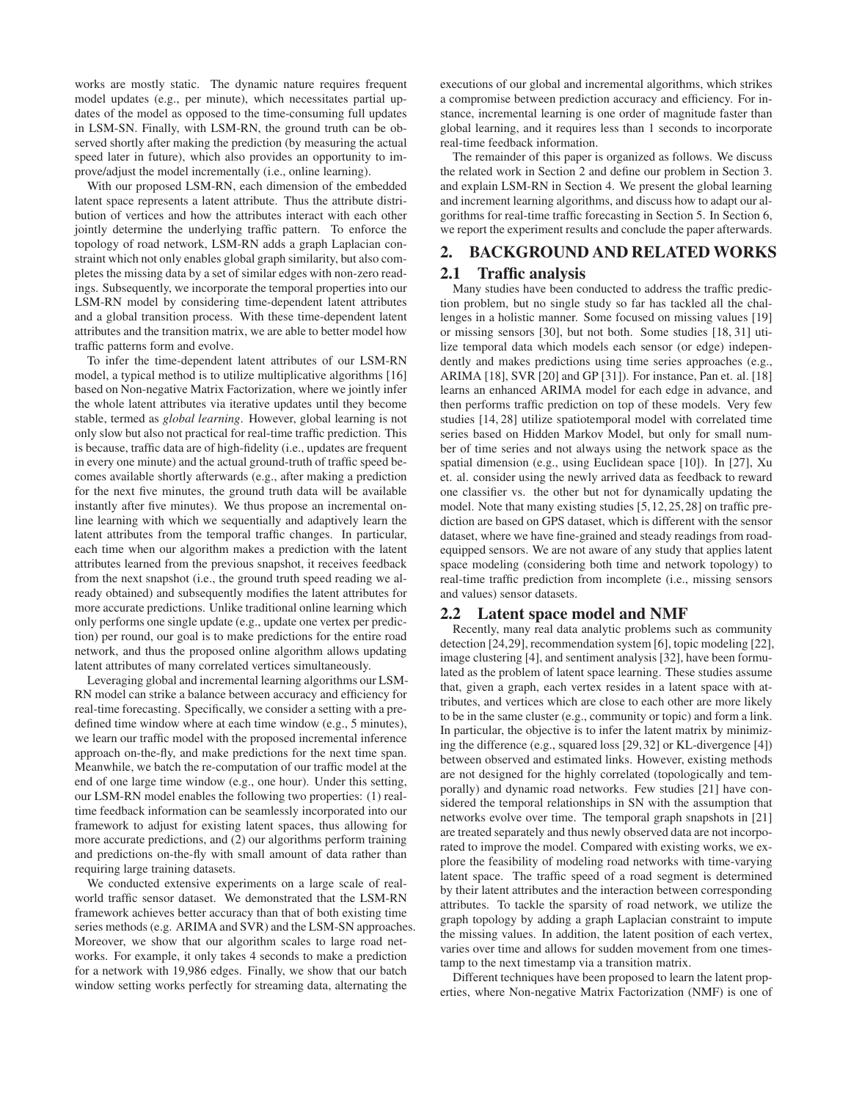works are mostly static. The dynamic nature requires frequent model updates (e.g., per minute), which necessitates partial updates of the model as opposed to the time-consuming full updates in LSM-SN. Finally, with LSM-RN, the ground truth can be observed shortly after making the prediction (by measuring the actual speed later in future), which also provides an opportunity to improve/adjust the model incrementally (i.e., online learning).

With our proposed LSM-RN, each dimension of the embedded latent space represents a latent attribute. Thus the attribute distribution of vertices and how the attributes interact with each other jointly determine the underlying traffic pattern. To enforce the topology of road network, LSM-RN adds a graph Laplacian constraint which not only enables global graph similarity, but also completes the missing data by a set of similar edges with non-zero readings. Subsequently, we incorporate the temporal properties into our LSM-RN model by considering time-dependent latent attributes and a global transition process. With these time-dependent latent attributes and the transition matrix, we are able to better model how traffic patterns form and evolve.

To infer the time-dependent latent attributes of our LSM-RN model, a typical method is to utilize multiplicative algorithms [\[16\]](#page-9-12) based on Non-negative Matrix Factorization, where we jointly infer the whole latent attributes via iterative updates until they become stable, termed as *global learning*. However, global learning is not only slow but also not practical for real-time traffic prediction. This is because, traffic data are of high-fidelity (i.e., updates are frequent in every one minute) and the actual ground-truth of traffic speed becomes available shortly afterwards (e.g., after making a prediction for the next five minutes, the ground truth data will be available instantly after five minutes). We thus propose an incremental online learning with which we sequentially and adaptively learn the latent attributes from the temporal traffic changes. In particular, each time when our algorithm makes a prediction with the latent attributes learned from the previous snapshot, it receives feedback from the next snapshot (i.e., the ground truth speed reading we already obtained) and subsequently modifies the latent attributes for more accurate predictions. Unlike traditional online learning which only performs one single update (e.g., update one vertex per prediction) per round, our goal is to make predictions for the entire road network, and thus the proposed online algorithm allows updating latent attributes of many correlated vertices simultaneously.

Leveraging global and incremental learning algorithms our LSM-RN model can strike a balance between accuracy and efficiency for real-time forecasting. Specifically, we consider a setting with a predefined time window where at each time window (e.g., 5 minutes), we learn our traffic model with the proposed incremental inference approach on-the-fly, and make predictions for the next time span. Meanwhile, we batch the re-computation of our traffic model at the end of one large time window (e.g., one hour). Under this setting, our LSM-RN model enables the following two properties: (1) realtime feedback information can be seamlessly incorporated into our framework to adjust for existing latent spaces, thus allowing for more accurate predictions, and (2) our algorithms perform training and predictions on-the-fly with small amount of data rather than requiring large training datasets.

We conducted extensive experiments on a large scale of realworld traffic sensor dataset. We demonstrated that the LSM-RN framework achieves better accuracy than that of both existing time series methods (e.g. ARIMA and SVR) and the LSM-SN approaches. Moreover, we show that our algorithm scales to large road networks. For example, it only takes 4 seconds to make a prediction for a network with 19,986 edges. Finally, we show that our batch window setting works perfectly for streaming data, alternating the

executions of our global and incremental algorithms, which strikes a compromise between prediction accuracy and efficiency. For instance, incremental learning is one order of magnitude faster than global learning, and it requires less than 1 seconds to incorporate real-time feedback information.

The remainder of this paper is organized as follows. We discuss the related work in Section [2](#page-1-0) and define our problem in Section [3.](#page-2-0) and explain LSM-RN in Section [4.](#page-2-1) We present the global learning and increment learning algorithms, and discuss how to adapt our algorithms for real-time traffic forecasting in Section [5.](#page-3-0) In Section [6,](#page-6-0) we report the experiment results and conclude the paper afterwards.

## <span id="page-1-0"></span>2. BACKGROUND AND RELATED WORKS

### 2.1 Traffic analysis

Many studies have been conducted to address the traffic prediction problem, but no single study so far has tackled all the challenges in a holistic manner. Some focused on missing values [\[19\]](#page-9-13) or missing sensors [\[30\]](#page-9-14), but not both. Some studies [\[18,](#page-9-1) [31\]](#page-9-3) utilize temporal data which models each sensor (or edge) independently and makes predictions using time series approaches (e.g., ARIMA [\[18\]](#page-9-1), SVR [\[20\]](#page-9-2) and GP [\[31\]](#page-9-3)). For instance, Pan et. al. [\[18\]](#page-9-1) learns an enhanced ARIMA model for each edge in advance, and then performs traffic prediction on top of these models. Very few studies [\[14,](#page-9-5) [28\]](#page-9-6) utilize spatiotemporal model with correlated time series based on Hidden Markov Model, but only for small number of time series and not always using the network space as the spatial dimension (e.g., using Euclidean space [\[10\]](#page-9-4)). In [\[27\]](#page-9-15), Xu et. al. consider using the newly arrived data as feedback to reward one classifier vs. the other but not for dynamically updating the model. Note that many existing studies [\[5,](#page-9-16)[12,](#page-9-17)[25,](#page-9-18)[28\]](#page-9-6) on traffic prediction are based on GPS dataset, which is different with the sensor dataset, where we have fine-grained and steady readings from roadequipped sensors. We are not aware of any study that applies latent space modeling (considering both time and network topology) to real-time traffic prediction from incomplete (i.e., missing sensors and values) sensor datasets.

## 2.2 Latent space model and NMF

Recently, many real data analytic problems such as community detection [\[24,](#page-9-7)[29\]](#page-9-8), recommendation system [\[6\]](#page-9-19), topic modeling [\[22\]](#page-9-20), image clustering [\[4\]](#page-9-21), and sentiment analysis [\[32\]](#page-9-11), have been formulated as the problem of latent space learning. These studies assume that, given a graph, each vertex resides in a latent space with attributes, and vertices which are close to each other are more likely to be in the same cluster (e.g., community or topic) and form a link. In particular, the objective is to infer the latent matrix by minimizing the difference (e.g., squared loss [\[29,](#page-9-8) [32\]](#page-9-11) or KL-divergence [\[4\]](#page-9-21)) between observed and estimated links. However, existing methods are not designed for the highly correlated (topologically and temporally) and dynamic road networks. Few studies [\[21\]](#page-9-22) have considered the temporal relationships in SN with the assumption that networks evolve over time. The temporal graph snapshots in [\[21\]](#page-9-22) are treated separately and thus newly observed data are not incorporated to improve the model. Compared with existing works, we explore the feasibility of modeling road networks with time-varying latent space. The traffic speed of a road segment is determined by their latent attributes and the interaction between corresponding attributes. To tackle the sparsity of road network, we utilize the graph topology by adding a graph Laplacian constraint to impute the missing values. In addition, the latent position of each vertex, varies over time and allows for sudden movement from one timestamp to the next timestamp via a transition matrix.

Different techniques have been proposed to learn the latent properties, where Non-negative Matrix Factorization (NMF) is one of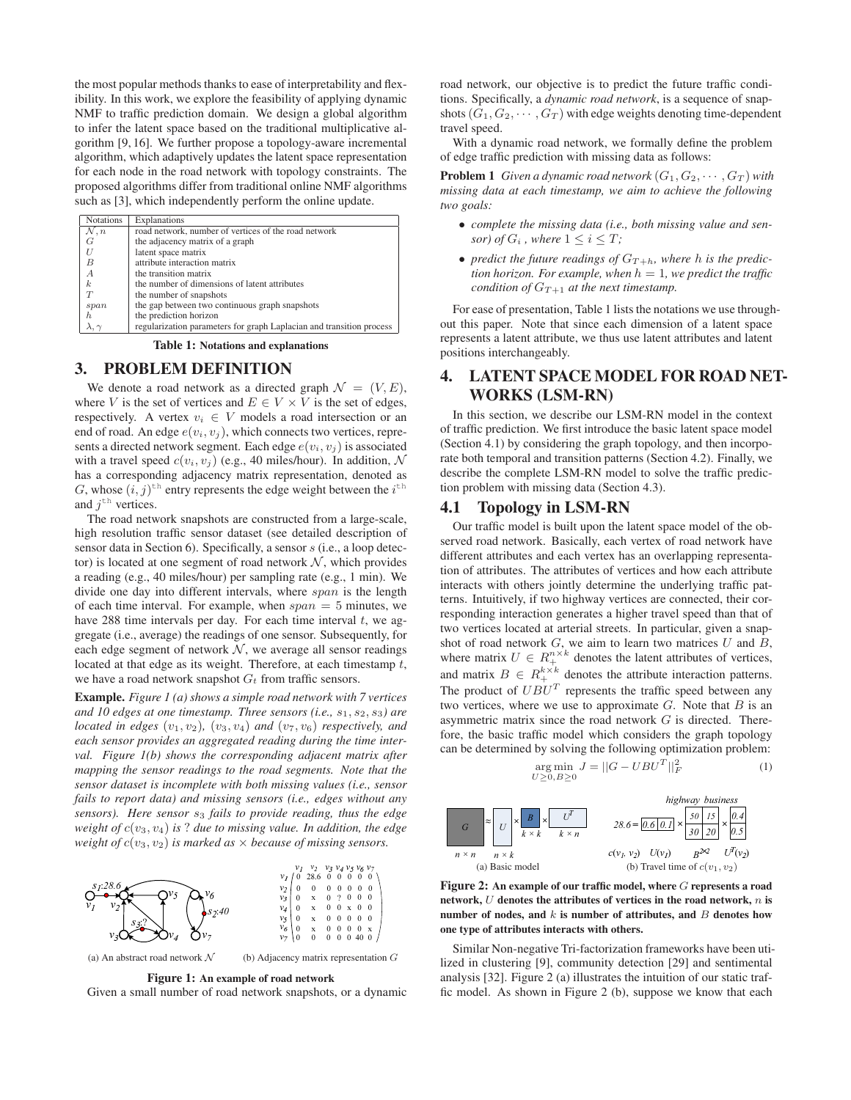the most popular methods thanks to ease of interpretability and flexibility. In this work, we explore the feasibility of applying dynamic NMF to traffic prediction domain. We design a global algorithm to infer the latent space based on the traditional multiplicative algorithm [\[9,](#page-9-23) [16\]](#page-9-12). We further propose a topology-aware incremental algorithm, which adaptively updates the latent space representation for each node in the road network with topology constraints. The proposed algorithms differ from traditional online NMF algorithms such as [\[3\]](#page-9-24), which independently perform the online update.

| <b>Notations</b>    | Explanations                                                         |
|---------------------|----------------------------------------------------------------------|
| $\mathcal{N}$ , $n$ | road network, number of vertices of the road network                 |
|                     | the adjacency matrix of a graph                                      |
| $\overline{U}$      | latent space matrix                                                  |
| $\overline{B}$      | attribute interaction matrix                                         |
| $\overline{A}$      | the transition matrix                                                |
| $\boldsymbol{k}$    | the number of dimensions of latent attributes                        |
| T                   | the number of snapshots                                              |
| span                | the gap between two continuous graph snapshots                       |
| h.                  | the prediction horizon                                               |
|                     | regularization parameters for graph Laplacian and transition process |

<span id="page-2-3"></span>Table 1: Notations and explanations

## <span id="page-2-0"></span>3. PROBLEM DEFINITION

We denote a road network as a directed graph  $\mathcal{N} = (V, E)$ , where V is the set of vertices and  $E \in V \times V$  is the set of edges, respectively. A vertex  $v_i \in V$  models a road intersection or an end of road. An edge  $e(v_i, v_j)$ , which connects two vertices, represents a directed network segment. Each edge  $e(v_i, v_j)$  is associated with a travel speed  $c(v_i, v_j)$  (e.g., 40 miles/hour). In addition, N has a corresponding adjacency matrix representation, denoted as G, whose  $(i, j)$ <sup>th</sup> entry represents the edge weight between the  $i$ <sup>th</sup> and  $j^{\text{th}}$  vertices.

The road network snapshots are constructed from a large-scale, high resolution traffic sensor dataset (see detailed description of sensor data in Section [6\)](#page-6-0). Specifically, a sensor s (i.e., a loop detector) is located at one segment of road network  $N$ , which provides a reading (e.g., 40 miles/hour) per sampling rate (e.g., 1 min). We divide one day into different intervals, where *span* is the length of each time interval. For example, when  $span = 5$  minutes, we have 288 time intervals per day. For each time interval  $t$ , we aggregate (i.e., average) the readings of one sensor. Subsequently, for each edge segment of network  $N$ , we average all sensor readings located at that edge as its weight. Therefore, at each timestamp  $t$ , we have a road network snapshot  $G_t$  from traffic sensors.

Example. *Figure [1](#page-2-2) (a) shows a simple road network with 7 vertices and 10 edges at one timestamp. Three sensors (i.e.,*  $s_1$ ,  $s_2$ ,  $s_3$ *) are located in edges*  $(v_1, v_2)$ *,*  $(v_3, v_4)$  *and*  $(v_7, v_6)$  *respectively, and each sensor provides an aggregated reading during the time interval. Figure [1\(](#page-2-2)b) shows the corresponding adjacent matrix after mapping the sensor readings to the road segments. Note that the sensor dataset is incomplete with both missing values (i.e., sensor fails to report data) and missing sensors (i.e., edges without any sensors). Here sensor* s<sup>3</sup> *fails to provide reading, thus the edge weight of*  $c(v_3, v_4)$  *is* ? *due to missing value. In addition, the edge weight of*  $c(v_3, v_2)$  *is marked as*  $\times$  *because of missing sensors.* 



<span id="page-2-2"></span>Figure 1: An example of road network

Given a small number of road network snapshots, or a dynamic

road network, our objective is to predict the future traffic conditions. Specifically, a *dynamic road network*, is a sequence of snapshots  $(G_1, G_2, \cdots, G_T)$  with edge weights denoting time-dependent travel speed.

With a dynamic road network, we formally define the problem of edge traffic prediction with missing data as follows:

**Problem 1** *Given a dynamic road network*  $(G_1, G_2, \cdots, G_T)$  *with missing data at each timestamp, we aim to achieve the following two goals:*

- *complete the missing data (i.e., both missing value and sensor)* of  $G_i$ , where  $1 \leq i \leq T$ ;
- *predict the future readings of*  $G_{T+h}$ *, where h is the prediction horizon. For example, when*  $h = 1$ *, we predict the traffic condition of*  $G_{T+1}$  *at the next timestamp.*

For ease of presentation, Table [1](#page-2-3) lists the notations we use throughout this paper. Note that since each dimension of a latent space represents a latent attribute, we thus use latent attributes and latent positions interchangeably.

## <span id="page-2-1"></span>4. LATENT SPACE MODEL FOR ROAD NET-WORKS (LSM-RN)

In this section, we describe our LSM-RN model in the context of traffic prediction. We first introduce the basic latent space model (Section [4.1\)](#page-2-4) by considering the graph topology, and then incorporate both temporal and transition patterns (Section [4.2\)](#page-3-1). Finally, we describe the complete LSM-RN model to solve the traffic prediction problem with missing data (Section [4.3\)](#page-3-2).

## <span id="page-2-4"></span>4.1 Topology in LSM-RN

Our traffic model is built upon the latent space model of the observed road network. Basically, each vertex of road network have different attributes and each vertex has an overlapping representation of attributes. The attributes of vertices and how each attribute interacts with others jointly determine the underlying traffic patterns. Intuitively, if two highway vertices are connected, their corresponding interaction generates a higher travel speed than that of two vertices located at arterial streets. In particular, given a snapshot of road network  $G$ , we aim to learn two matrices  $U$  and  $B$ , where matrix  $U \in R_{+}^{n \times k}$  denotes the latent attributes of vertices, and matrix  $B \in R_+^{k \times k}$  denotes the attribute interaction patterns. The product of  $UBU<sup>T</sup>$  represents the traffic speed between any two vertices, where we use to approximate  $G$ . Note that  $B$  is an asymmetric matrix since the road network  $G$  is directed. Therefore, the basic traffic model which considers the graph topology can be determined by solving the following optimization problem:

$$
\underset{U>0,B>0}{\arg\min} J = ||G - UBU^T||_F^2 \tag{1}
$$



<span id="page-2-5"></span>Figure 2: An example of our traffic model, where G represents a road network,  $U$  denotes the attributes of vertices in the road network,  $n$  is number of nodes, and  $k$  is number of attributes, and  $B$  denotes how one type of attributes interacts with others.

Similar Non-negative Tri-factorization frameworks have been utilized in clustering [\[9\]](#page-9-23), community detection [\[29\]](#page-9-8) and sentimental analysis [\[32\]](#page-9-11). Figure [2](#page-2-5) (a) illustrates the intuition of our static traffic model. As shown in Figure [2](#page-2-5) (b), suppose we know that each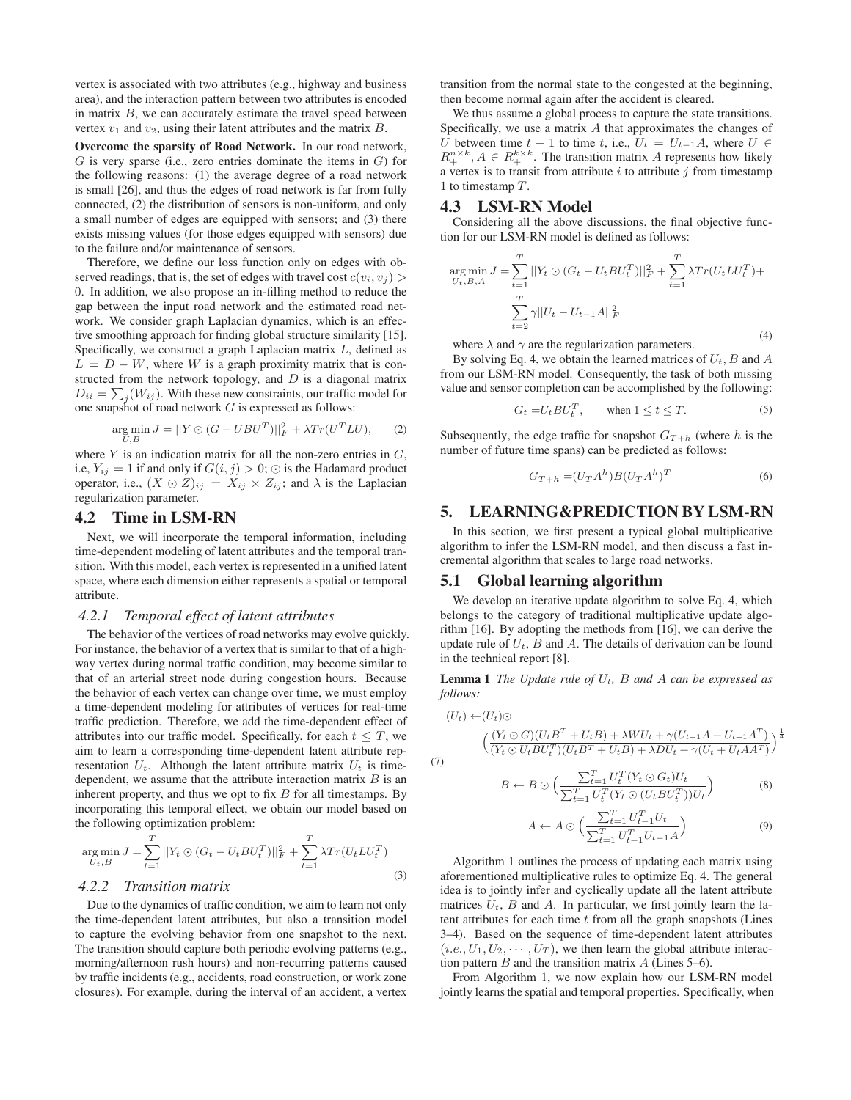vertex is associated with two attributes (e.g., highway and business area), and the interaction pattern between two attributes is encoded in matrix  $B$ , we can accurately estimate the travel speed between vertex  $v_1$  and  $v_2$ , using their latent attributes and the matrix  $B$ .

Overcome the sparsity of Road Network. In our road network,  $G$  is very sparse (i.e., zero entries dominate the items in  $G$ ) for the following reasons: (1) the average degree of a road network is small [\[26\]](#page-9-25), and thus the edges of road network is far from fully connected, (2) the distribution of sensors is non-uniform, and only a small number of edges are equipped with sensors; and (3) there exists missing values (for those edges equipped with sensors) due to the failure and/or maintenance of sensors.

Therefore, we define our loss function only on edges with observed readings, that is, the set of edges with travel cost  $c(v_i, v_j)$ 0. In addition, we also propose an in-filling method to reduce the gap between the input road network and the estimated road network. We consider graph Laplacian dynamics, which is an effective smoothing approach for finding global structure similarity [\[15\]](#page-9-26). Specifically, we construct a graph Laplacian matrix  $L$ , defined as  $L = D - W$ , where W is a graph proximity matrix that is constructed from the network topology, and  $D$  is a diagonal matrix  $D_{ii} = \sum_j (W_{ij})$ . With these new constraints, our traffic model for one snapshot of road network G is expressed as follows:

$$
\underset{U,B}{\text{arg min}} J = ||Y \odot (G - UBU^T)||_F^2 + \lambda Tr(U^T LU), \qquad (2)
$$

where  $Y$  is an indication matrix for all the non-zero entries in  $G$ , i.e,  $Y_{ij} = 1$  if and only if  $G(i, j) > 0$ ; ⊙ is the Hadamard product operator, i.e.,  $(X \odot Z)_{ij} = X_{ij} \times Z_{ij}$ ; and  $\lambda$  is the Laplacian regularization parameter.

## <span id="page-3-1"></span>4.2 Time in LSM-RN

Next, we will incorporate the temporal information, including time-dependent modeling of latent attributes and the temporal transition. With this model, each vertex is represented in a unified latent space, where each dimension either represents a spatial or temporal attribute.

### *4.2.1 Temporal effect of latent attributes*

The behavior of the vertices of road networks may evolve quickly. For instance, the behavior of a vertex that is similar to that of a highway vertex during normal traffic condition, may become similar to that of an arterial street node during congestion hours. Because the behavior of each vertex can change over time, we must employ a time-dependent modeling for attributes of vertices for real-time traffic prediction. Therefore, we add the time-dependent effect of attributes into our traffic model. Specifically, for each  $t \leq T$ , we aim to learn a corresponding time-dependent latent attribute representation  $U_t$ . Although the latent attribute matrix  $U_t$  is timedependent, we assume that the attribute interaction matrix  $B$  is an inherent property, and thus we opt to fix  $B$  for all timestamps. By incorporating this temporal effect, we obtain our model based on the following optimization problem:

$$
\underset{U_t, B}{\arg \min} J = \sum_{t=1}^T ||Y_t \odot (G_t - U_t B U_t^T)||_F^2 + \sum_{t=1}^T \lambda Tr(U_t L U_t^T)
$$
\n
$$
4.2.2 \quad \text{Transition matrix} \tag{3}
$$

#### *4.2.2 Transition matrix*

Due to the dynamics of traffic condition, we aim to learn not only the time-dependent latent attributes, but also a transition model to capture the evolving behavior from one snapshot to the next. The transition should capture both periodic evolving patterns (e.g., morning/afternoon rush hours) and non-recurring patterns caused by traffic incidents (e.g., accidents, road construction, or work zone closures). For example, during the interval of an accident, a vertex

transition from the normal state to the congested at the beginning, then become normal again after the accident is cleared.

We thus assume a global process to capture the state transitions. Specifically, we use a matrix  $A$  that approximates the changes of U between time  $t - 1$  to time t, i.e.,  $U_t = U_{t-1}A$ , where  $U \in$  $R_{+}^{n \times k}$ ,  $A \in R_{+}^{k \times k}$ . The transition matrix A represents how likely a vertex is to transit from attribute  $i$  to attribute  $j$  from timestamp 1 to timestamp T.

### <span id="page-3-2"></span>4.3 LSM-RN Model

Considering all the above discussions, the final objective function for our LSM-RN model is defined as follows:

<span id="page-3-3"></span>
$$
\arg\min_{U_t, B, A} J = \sum_{t=1}^T ||Y_t \odot (G_t - U_t B U_t^T)||_F^2 + \sum_{t=1}^T \lambda Tr(U_t L U_t^T) + \sum_{t=2}^T \gamma ||U_t - U_{t-1} A||_F^2
$$

where  $\lambda$  and  $\gamma$  are the regularization parameters. (4)

By solving Eq. [4,](#page-3-3) we obtain the learned matrices of  $U_t$ , B and A from our LSM-RN model. Consequently, the task of both missing value and sensor completion can be accomplished by the following:

$$
G_t = U_t B U_t^T, \qquad \text{when } 1 \le t \le T. \tag{5}
$$

Subsequently, the edge traffic for snapshot  $G_{T+h}$  (where h is the number of future time spans) can be predicted as follows:

$$
G_{T+h} = (U_T A^h) B (U_T A^h)^T
$$
\n<sup>(6)</sup>

## <span id="page-3-0"></span>5. LEARNING&PREDICTION BY LSM-RN

In this section, we first present a typical global multiplicative algorithm to infer the LSM-RN model, and then discuss a fast incremental algorithm that scales to large road networks.

### 5.1 Global learning algorithm

We develop an iterative update algorithm to solve Eq. [4,](#page-3-3) which belongs to the category of traditional multiplicative update algorithm [\[16\]](#page-9-12). By adopting the methods from [\[16\]](#page-9-12), we can derive the update rule of  $U_t$ ,  $B$  and  $A$ . The details of derivation can be found in the technical report [\[8\]](#page-9-27).

<span id="page-3-7"></span>**Lemma 1** *The Update rule of*  $U_t$ *, B and A can be expressed as follows:*

<span id="page-3-4"></span>
$$
(U_t) \leftarrow (U_t) \odot
$$
\n
$$
\left(\frac{(Y_t \odot G)(U_t B^T + U_t B) + \lambda W U_t + \gamma (U_{t-1} A + U_{t+1} A^T)}{(Y_t \odot U_t B U_t^T)(U_t B^T + U_t B) + \lambda D U_t + \gamma (U_t + U_t A A^T)}\right)^{\frac{1}{4}}
$$
\n
$$
(7)
$$

<span id="page-3-5"></span>
$$
B \leftarrow B \odot \left(\frac{\sum_{t=1}^{T} U_t^T (Y_t \odot G_t) U_t}{\sum_{t=1}^{T} U_t^T (Y_t \odot (U_t B U_t^T)) U_t}\right) \tag{8}
$$

<span id="page-3-6"></span>
$$
A \leftarrow A \odot \left(\frac{\sum_{t=1}^{T} U_{t-1}^T U_t}{\sum_{t=1}^{T} U_{t-1}^T U_{t-1} A}\right) \tag{9}
$$

Algorithm [1](#page-4-0) outlines the process of updating each matrix using aforementioned multiplicative rules to optimize Eq. [4.](#page-3-3) The general idea is to jointly infer and cyclically update all the latent attribute matrices  $U_t$ , B and A. In particular, we first jointly learn the latent attributes for each time  $t$  from all the graph snapshots (Lines 3–4). Based on the sequence of time-dependent latent attributes  $(i.e., U_1, U_2, \cdots, U_T)$ , we then learn the global attribute interaction pattern  $B$  and the transition matrix  $A$  (Lines 5–6).

From Algorithm [1,](#page-4-0) we now explain how our LSM-RN model jointly learns the spatial and temporal properties. Specifically, when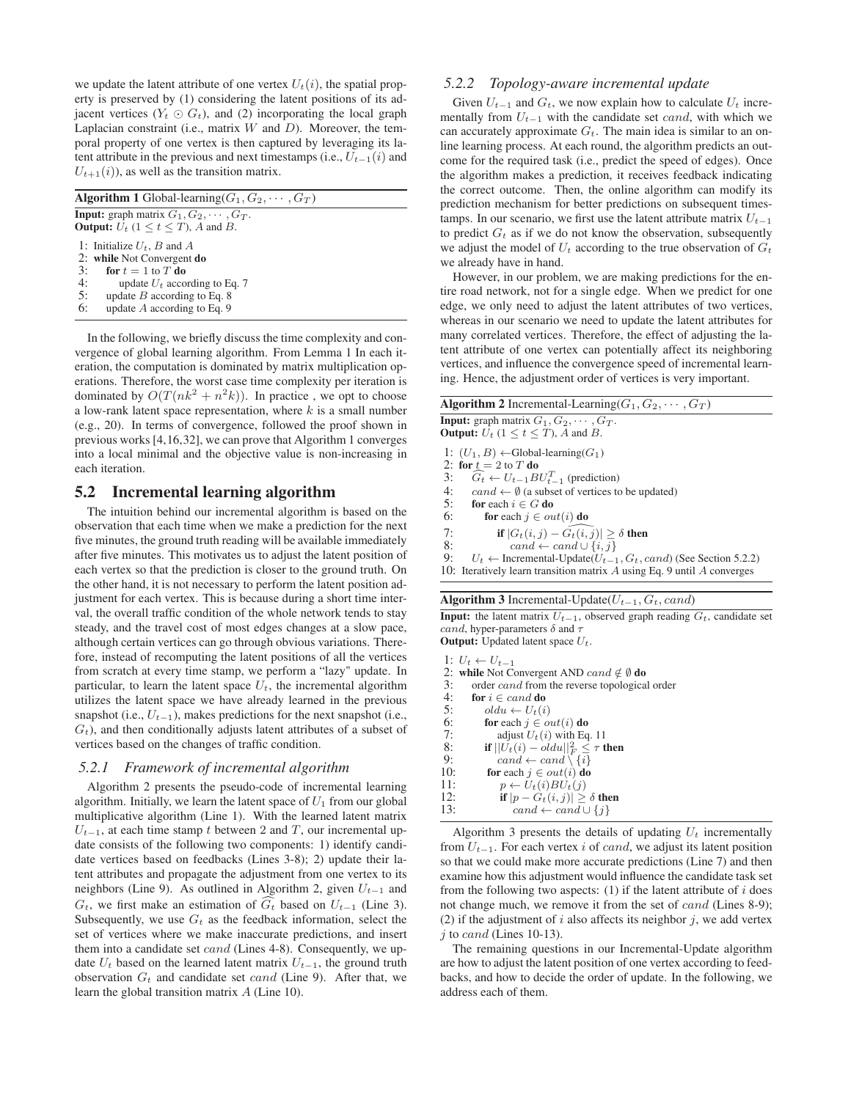we update the latent attribute of one vertex  $U_t(i)$ , the spatial property is preserved by (1) considering the latent positions of its adjacent vertices ( $Y_t \odot G_t$ ), and (2) incorporating the local graph Laplacian constraint (i.e., matrix  $W$  and  $D$ ). Moreover, the temporal property of one vertex is then captured by leveraging its latent attribute in the previous and next timestamps (i.e.,  $U_{t-1}(i)$ ) and  $U_{t+1}(i)$ , as well as the transition matrix.

<span id="page-4-0"></span>

| <b>Algorithm 1</b> Global-learning( $G_1, G_2, \cdots, G_T$ ) |                                                                                                            |  |  |  |
|---------------------------------------------------------------|------------------------------------------------------------------------------------------------------------|--|--|--|
|                                                               | <b>Input:</b> graph matrix $G_1, G_2, \cdots, G_T$ .<br><b>Output:</b> $U_t$ ( $1 \le t \le T$ ), A and B. |  |  |  |
| 3:                                                            | 1: Initialize $U_t$ , B and A<br>2: while Not Convergent do<br>for $t = 1$ to T do                         |  |  |  |
| 4:<br>5:<br>6:                                                | update $U_t$ according to Eq. 7<br>update $B$ according to Eq. 8<br>update $A$ according to Eq. 9          |  |  |  |

In the following, we briefly discuss the time complexity and convergence of global learning algorithm. From Lemma [1](#page-3-7) In each iteration, the computation is dominated by matrix multiplication operations. Therefore, the worst case time complexity per iteration is dominated by  $O(T(nk^2 + n^2k))$ . In practice, we opt to choose a low-rank latent space representation, where  $k$  is a small number (e.g., 20). In terms of convergence, followed the proof shown in previous works [\[4](#page-9-21)[,16,](#page-9-12)[32\]](#page-9-11), we can prove that Algorithm [1](#page-4-0) converges into a local minimal and the objective value is non-increasing in each iteration.

## 5.2 Incremental learning algorithm

The intuition behind our incremental algorithm is based on the observation that each time when we make a prediction for the next five minutes, the ground truth reading will be available immediately after five minutes. This motivates us to adjust the latent position of each vertex so that the prediction is closer to the ground truth. On the other hand, it is not necessary to perform the latent position adjustment for each vertex. This is because during a short time interval, the overall traffic condition of the whole network tends to stay steady, and the travel cost of most edges changes at a slow pace, although certain vertices can go through obvious variations. Therefore, instead of recomputing the latent positions of all the vertices from scratch at every time stamp, we perform a "lazy" update. In particular, to learn the latent space  $U_t$ , the incremental algorithm utilizes the latent space we have already learned in the previous snapshot (i.e.,  $U_{t-1}$ ), makes predictions for the next snapshot (i.e.,  $G<sub>t</sub>$ ), and then conditionally adjusts latent attributes of a subset of vertices based on the changes of traffic condition.

#### *5.2.1 Framework of incremental algorithm*

Algorithm [2](#page-4-1) presents the pseudo-code of incremental learning algorithm. Initially, we learn the latent space of  $U_1$  from our global multiplicative algorithm (Line 1). With the learned latent matrix  $U_{t-1}$ , at each time stamp t between 2 and T, our incremental update consists of the following two components: 1) identify candidate vertices based on feedbacks (Lines 3-8); 2) update their latent attributes and propagate the adjustment from one vertex to its neighbors (Line 9). As outlined in Algorithm [2,](#page-4-1) given  $U_{t-1}$  and  $G_t$ , we first make an estimation of  $G_t$  based on  $U_{t-1}$  (Line 3). Subsequently, we use  $G_t$  as the feedback information, select the set of vertices where we make inaccurate predictions, and insert them into a candidate set *cand* (Lines 4-8). Consequently, we update  $U_t$  based on the learned latent matrix  $U_{t-1}$ , the ground truth observation  $G_t$  and candidate set *cand* (Line 9). After that, we learn the global transition matrix A (Line 10).

### <span id="page-4-2"></span>*5.2.2 Topology-aware incremental update*

Given  $U_{t-1}$  and  $G_t$ , we now explain how to calculate  $U_t$  incrementally from  $U_{t-1}$  with the candidate set *cand*, with which we can accurately approximate  $G_t$ . The main idea is similar to an online learning process. At each round, the algorithm predicts an outcome for the required task (i.e., predict the speed of edges). Once the algorithm makes a prediction, it receives feedback indicating the correct outcome. Then, the online algorithm can modify its prediction mechanism for better predictions on subsequent timestamps. In our scenario, we first use the latent attribute matrix  $U_{t-1}$ to predict  $G_t$  as if we do not know the observation, subsequently we adjust the model of  $U_t$  according to the true observation of  $G_t$ we already have in hand.

However, in our problem, we are making predictions for the entire road network, not for a single edge. When we predict for one edge, we only need to adjust the latent attributes of two vertices, whereas in our scenario we need to update the latent attributes for many correlated vertices. Therefore, the effect of adjusting the latent attribute of one vertex can potentially affect its neighboring vertices, and influence the convergence speed of incremental learning. Hence, the adjustment order of vertices is very important.

<span id="page-4-1"></span>

| <b>Algorithm 2</b> Incremental-Learning( $G_1, G_2, \cdots, G_T$ )                                                                                                      |  |  |  |  |
|-------------------------------------------------------------------------------------------------------------------------------------------------------------------------|--|--|--|--|
| <b>Input:</b> graph matrix $G_1, G_2, \cdots, G_T$ .<br><b>Output:</b> $U_t$ (1 < $t$ < $T$ ), A and B.                                                                 |  |  |  |  |
| 1: $(U_1, B) \leftarrow$ Global-learning $(G_1)$<br>2: for $t = 2$ to T do<br>$G_t \leftarrow U_{t-1}BU_{t-1}^T$ (prediction)<br>3:                                     |  |  |  |  |
| 4:<br>$cand \leftarrow \emptyset$ (a subset of vertices to be updated)<br>5:<br>for each $i \in G$ do<br>6:                                                             |  |  |  |  |
| for each $j \in out(i)$ do<br>7:<br>if $ G_t(i, j) - G_t(i, j)  > \delta$ then<br>8:<br>$cand \leftarrow cand \cup \{i, j\}$                                            |  |  |  |  |
| 9:<br>$U_t \leftarrow$ Incremental-Update( $U_{t-1}$ , $G_t$ , cand) (See Section 5.2.2)<br>10: Iteratively learn transition matrix $A$ using Eq. 9 until $A$ converges |  |  |  |  |

Algorithm 3 Incremental-Update( $U_{t-1}$ ,  $G_t$ , cand)

<span id="page-4-3"></span>**Input:** the latent matrix  $U_{t-1}$ , observed graph reading  $G_t$ , candidate set cand, hyper-parameters  $\delta$  and  $\tau$ **Output:** Updated latent space  $U_t$ .

```
1: U_t ← U_{t-1}2: while Not Convergent AND cand \notin \emptyset do 3: order cand from the reverse topological
 3: order cand from the reverse topological order<br>4: for i \in cand do
 4: for i \in cand do<br>5: oldu \leftarrow U_t(i)5: oldu \leftarrow U_t(i)<br>
6: for each j \in o<br>
7: adjust U_t(i)for each j \in out(i) do
 7: adjust U_t(i) 11<br>8: if ||U_t(i) - oldu||_F^2 < \tau t
  8: if ||\overline{U}_t(i) - oldu||_F^2 \leq \tau then<br>9: \begin{array}{c}\n\text{and} \leftarrow \text{cand} \setminus \{i\}\n\end{array}10: for each j \in out(i) do<br>11: n \leftarrow L(L(i)BL(L(i))11: p \leftarrow U_t(i)BU_t(j)<br>12: \text{if } |p - G_t(i)| >12: if |p - G_t(i, j)| \ge \delta then<br>13: \operatorname{cand} \leftarrow \operatorname{cand} \cup \{j\}cand \leftarrow cand \cup \{j\}
```
Algorithm [3](#page-4-3) presents the details of updating  $U_t$  incrementally from  $U_{t-1}$ . For each vertex i of *cand*, we adjust its latent position so that we could make more accurate predictions (Line 7) and then examine how this adjustment would influence the candidate task set from the following two aspects: (1) if the latent attribute of  $i$  does not change much, we remove it from the set of cand (Lines 8-9); (2) if the adjustment of i also affects its neighbor  $j$ , we add vertex  $j$  to *cand* (Lines 10-13).

The remaining questions in our Incremental-Update algorithm are how to adjust the latent position of one vertex according to feedbacks, and how to decide the order of update. In the following, we address each of them.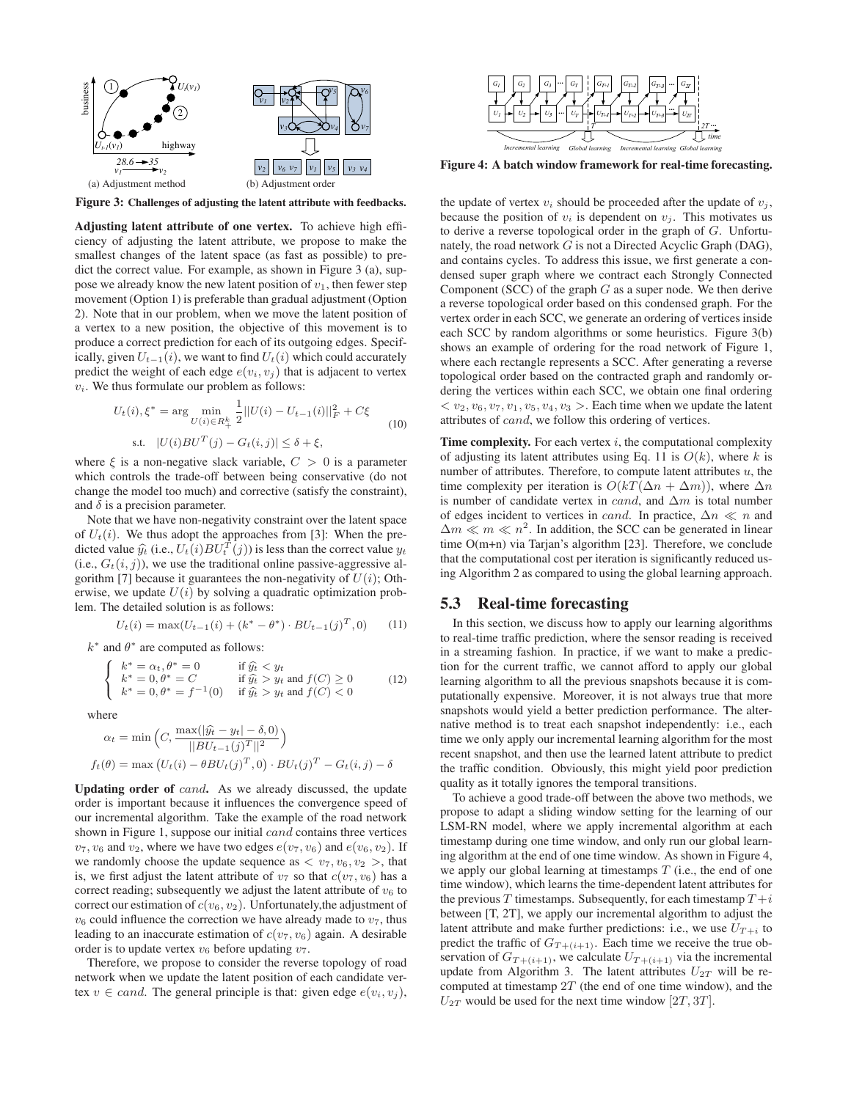

<span id="page-5-1"></span>Figure 3: Challenges of adjusting the latent attribute with feedbacks.

Adjusting latent attribute of one vertex. To achieve high efficiency of adjusting the latent attribute, we propose to make the smallest changes of the latent space (as fast as possible) to predict the correct value. For example, as shown in Figure [3](#page-5-1) (a), suppose we already know the new latent position of  $v_1$ , then fewer step movement (Option 1) is preferable than gradual adjustment (Option 2). Note that in our problem, when we move the latent position of a vertex to a new position, the objective of this movement is to produce a correct prediction for each of its outgoing edges. Specifically, given  $U_{t-1}(i)$ , we want to find  $U_t(i)$  which could accurately predict the weight of each edge  $e(v_i, v_j)$  that is adjacent to vertex  $v_i$ . We thus formulate our problem as follows:

$$
U_t(i), \xi^* = \arg \min_{U(i) \in R_+^k} \frac{1}{2} ||U(i) - U_{t-1}(i)||_F^2 + C\xi
$$
  
s.t.  $|U(i)BU^T(j) - G_t(i,j)| \le \delta + \xi,$  (10)

where  $\xi$  is a non-negative slack variable,  $C > 0$  is a parameter which controls the trade-off between being conservative (do not change the model too much) and corrective (satisfy the constraint), and  $\delta$  is a precision parameter.

Note that we have non-negativity constraint over the latent space of  $U_t(i)$ . We thus adopt the approaches from [\[3\]](#page-9-24): When the predicted value  $\hat{y}_t$  (i.e.,  $U_t(i)BU_t^T(j)$ ) is less than the correct value  $y_t$ (i.e.,  $G_t(i, j)$ ), we use the traditional online passive-aggressive al-gorithm [\[7\]](#page-9-28) because it guarantees the non-negativity of  $U(i)$ ; Otherwise, we update  $U(i)$  by solving a quadratic optimization problem. The detailed solution is as follows:

<span id="page-5-0"></span>
$$
U_t(i) = \max(U_{t-1}(i) + (k^* - \theta^*) \cdot BU_{t-1}(j)^T, 0)
$$
 (11)

 $k^*$  and  $\theta^*$  are computed as follows:

$$
\begin{cases}\n k^* = \alpha_t, \theta^* = 0 & \text{if } \widehat{y_t} < y_t \\
 k^* = 0, \theta^* = C & \text{if } \widehat{y_t} > y_t \text{ and } f(C) \ge 0 \\
 k^* = 0, \theta^* = f^{-1}(0) & \text{if } \widehat{y_t} > y_t \text{ and } f(C) < 0\n\end{cases} \tag{12}
$$

where

$$
\alpha_t = \min\left(C, \frac{\max(|\hat{y}_t - y_t| - \delta, 0)}{||BU_{t-1}(j)^T||^2}\right)
$$
  

$$
f_t(\theta) = \max\left(U_t(i) - \theta BU_t(j)^T, 0\right) \cdot BU_t(j)^T - G_t(i, j) - \delta
$$

Updating order of cand. As we already discussed, the update order is important because it influences the convergence speed of our incremental algorithm. Take the example of the road network shown in Figure [1,](#page-2-2) suppose our initial *cand* contains three vertices  $v_7, v_6$  and  $v_2$ , where we have two edges  $e(v_7, v_6)$  and  $e(v_6, v_2)$ . If we randomly choose the update sequence as  $\langle v_7, v_6, v_2 \rangle$ , that is, we first adjust the latent attribute of  $v_7$  so that  $c(v_7, v_6)$  has a correct reading; subsequently we adjust the latent attribute of  $v_6$  to correct our estimation of  $c(v_6, v_2)$ . Unfortunately, the adjustment of  $v_6$  could influence the correction we have already made to  $v_7$ , thus leading to an inaccurate estimation of  $c(v_7, v_6)$  again. A desirable order is to update vertex  $v_6$  before updating  $v_7$ .

Therefore, we propose to consider the reverse topology of road network when we update the latent position of each candidate vertex  $v \in cand$ . The general principle is that: given edge  $e(v_i, v_j)$ ,



<span id="page-5-2"></span>Figure 4: A batch window framework for real-time forecasting.

the update of vertex  $v_i$  should be proceeded after the update of  $v_i$ , because the position of  $v_i$  is dependent on  $v_i$ . This motivates us to derive a reverse topological order in the graph of G. Unfortunately, the road network G is not a Directed Acyclic Graph (DAG), and contains cycles. To address this issue, we first generate a condensed super graph where we contract each Strongly Connected Component (SCC) of the graph  $G$  as a super node. We then derive a reverse topological order based on this condensed graph. For the vertex order in each SCC, we generate an ordering of vertices inside each SCC by random algorithms or some heuristics. Figure [3\(](#page-5-1)b) shows an example of ordering for the road network of Figure [1,](#page-2-2) where each rectangle represents a SCC. After generating a reverse topological order based on the contracted graph and randomly ordering the vertices within each SCC, we obtain one final ordering  $\langle v_2, v_6, v_7, v_1, v_5, v_4, v_3 \rangle$ . Each time when we update the latent attributes of cand, we follow this ordering of vertices.

**Time complexity.** For each vertex  $i$ , the computational complexity of adjusting its latent attributes using Eq. [11](#page-5-0) is  $O(k)$ , where k is number of attributes. Therefore, to compute latent attributes  $u$ , the time complexity per iteration is  $O(kT(\Delta n + \Delta m))$ , where  $\Delta n$ is number of candidate vertex in *cand*, and  $\Delta m$  is total number of edges incident to vertices in *cand*. In practice,  $\Delta n \ll n$  and  $\Delta m \ll m \ll n^2$ . In addition, the SCC can be generated in linear time O(m+n) via Tarjan's algorithm [\[23\]](#page-9-29). Therefore, we conclude that the computational cost per iteration is significantly reduced using Algorithm [2](#page-4-1) as compared to using the global learning approach.

### <span id="page-5-3"></span>5.3 Real-time forecasting

In this section, we discuss how to apply our learning algorithms to real-time traffic prediction, where the sensor reading is received in a streaming fashion. In practice, if we want to make a prediction for the current traffic, we cannot afford to apply our global learning algorithm to all the previous snapshots because it is computationally expensive. Moreover, it is not always true that more snapshots would yield a better prediction performance. The alternative method is to treat each snapshot independently: i.e., each time we only apply our incremental learning algorithm for the most recent snapshot, and then use the learned latent attribute to predict the traffic condition. Obviously, this might yield poor prediction quality as it totally ignores the temporal transitions.

To achieve a good trade-off between the above two methods, we propose to adapt a sliding window setting for the learning of our LSM-RN model, where we apply incremental algorithm at each timestamp during one time window, and only run our global learning algorithm at the end of one time window. As shown in Figure [4,](#page-5-2) we apply our global learning at timestamps  $T$  (i.e., the end of one time window), which learns the time-dependent latent attributes for the previous  $T$  timestamps. Subsequently, for each timestamp  $T + i$ between [T, 2T], we apply our incremental algorithm to adjust the latent attribute and make further predictions: i.e., we use  $U_{T+i}$  to predict the traffic of  $G_{T+(i+1)}$ . Each time we receive the true observation of  $G_{T+(i+1)}$ , we calculate  $U_{T+(i+1)}$  via the incremental update from Algorithm [3.](#page-4-3) The latent attributes  $U_{2T}$  will be recomputed at timestamp  $2T$  (the end of one time window), and the  $U_{2T}$  would be used for the next time window [2T, 3T].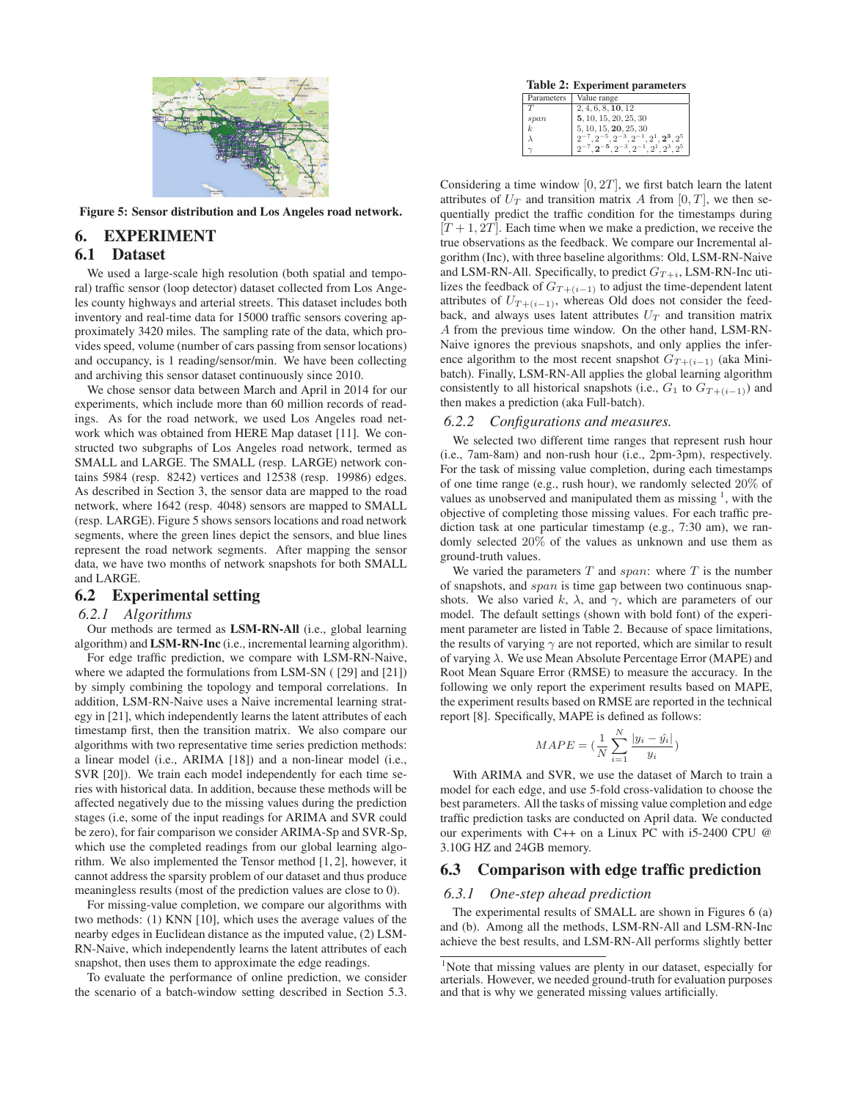

Figure 5: Sensor distribution and Los Angeles road network.

# <span id="page-6-1"></span><span id="page-6-0"></span>6. EXPERIMENT

## 6.1 Dataset

We used a large-scale high resolution (both spatial and temporal) traffic sensor (loop detector) dataset collected from Los Angeles county highways and arterial streets. This dataset includes both inventory and real-time data for 15000 traffic sensors covering approximately 3420 miles. The sampling rate of the data, which provides speed, volume (number of cars passing from sensor locations) and occupancy, is 1 reading/sensor/min. We have been collecting and archiving this sensor dataset continuously since 2010.

We chose sensor data between March and April in 2014 for our experiments, which include more than 60 million records of readings. As for the road network, we used Los Angeles road network which was obtained from HERE Map dataset [\[11\]](#page-9-30). We constructed two subgraphs of Los Angeles road network, termed as SMALL and LARGE. The SMALL (resp. LARGE) network contains 5984 (resp. 8242) vertices and 12538 (resp. 19986) edges. As described in Section [3,](#page-2-0) the sensor data are mapped to the road network, where 1642 (resp. 4048) sensors are mapped to SMALL (resp. LARGE). Figure [5](#page-6-1) shows sensors locations and road network segments, where the green lines depict the sensors, and blue lines represent the road network segments. After mapping the sensor data, we have two months of network snapshots for both SMALL and LARGE.

## 6.2 Experimental setting

### *6.2.1 Algorithms*

Our methods are termed as LSM-RN-All (i.e., global learning algorithm) and LSM-RN-Inc (i.e., incremental learning algorithm).

For edge traffic prediction, we compare with LSM-RN-Naive, where we adapted the formulations from LSM-SN ( [\[29\]](#page-9-8) and [\[21\]](#page-9-22)) by simply combining the topology and temporal correlations. In addition, LSM-RN-Naive uses a Naive incremental learning strategy in [\[21\]](#page-9-22), which independently learns the latent attributes of each timestamp first, then the transition matrix. We also compare our algorithms with two representative time series prediction methods: a linear model (i.e., ARIMA [\[18\]](#page-9-1)) and a non-linear model (i.e., SVR [\[20\]](#page-9-2)). We train each model independently for each time series with historical data. In addition, because these methods will be affected negatively due to the missing values during the prediction stages (i.e, some of the input readings for ARIMA and SVR could be zero), for fair comparison we consider ARIMA-Sp and SVR-Sp, which use the completed readings from our global learning algorithm. We also implemented the Tensor method [\[1,](#page-9-31) [2\]](#page-9-32), however, it cannot address the sparsity problem of our dataset and thus produce meaningless results (most of the prediction values are close to 0).

For missing-value completion, we compare our algorithms with two methods: (1) KNN [\[10\]](#page-9-4), which uses the average values of the nearby edges in Euclidean distance as the imputed value, (2) LSM-RN-Naive, which independently learns the latent attributes of each snapshot, then uses them to approximate the edge readings.

To evaluate the performance of online prediction, we consider the scenario of a batch-window setting described in Section [5.3.](#page-5-3)

<span id="page-6-3"></span>Table 2: Experiment parameters

| Parameters | Value range                                                             |
|------------|-------------------------------------------------------------------------|
| T          | 2, 4, 6, 8, 10, 12                                                      |
| span       | 5, 10, 15, 20, 25, 30                                                   |
| k          | 5, 10, 15, 20, 25, 30                                                   |
| λ          | $2^{-7}$ , $2^{-5}$ , $2^{-3}$ , $2^{-1}$ , $2^1$ , $2^3$ , $2^5$       |
|            | $2^{-7}$ , $2^{-5}$ , $2^{-3}$ , $2^{-1}$ , $2^{1}$ , $2^{3}$ , $2^{5}$ |

Considering a time window  $[0, 2T]$ , we first batch learn the latent attributes of  $U_T$  and transition matrix A from [0, T], we then sequentially predict the traffic condition for the timestamps during  $[T+1, 2T]$ . Each time when we make a prediction, we receive the true observations as the feedback. We compare our Incremental algorithm (Inc), with three baseline algorithms: Old, LSM-RN-Naive and LSM-RN-All. Specifically, to predict  $G_{T+i}$ , LSM-RN-Inc utilizes the feedback of  $G_{T+(i-1)}$  to adjust the time-dependent latent attributes of  $U_{T+(i-1)}$ , whereas Old does not consider the feedback, and always uses latent attributes  $U_T$  and transition matrix A from the previous time window. On the other hand, LSM-RN-Naive ignores the previous snapshots, and only applies the inference algorithm to the most recent snapshot  $G_{T+(i-1)}$  (aka Minibatch). Finally, LSM-RN-All applies the global learning algorithm consistently to all historical snapshots (i.e.,  $G_1$  to  $G_{T+(i-1)}$ ) and then makes a prediction (aka Full-batch).

### *6.2.2 Configurations and measures.*

We selected two different time ranges that represent rush hour (i.e., 7am-8am) and non-rush hour (i.e., 2pm-3pm), respectively. For the task of missing value completion, during each timestamps of one time range (e.g., rush hour), we randomly selected 20% of values as unobserved and manipulated them as missing  $<sup>1</sup>$  $<sup>1</sup>$  $<sup>1</sup>$ , with the</sup> objective of completing those missing values. For each traffic prediction task at one particular timestamp (e.g., 7:30 am), we randomly selected 20% of the values as unknown and use them as ground-truth values.

We varied the parameters  $T$  and  $span$ : where  $T$  is the number of snapshots, and span is time gap between two continuous snapshots. We also varied k,  $\lambda$ , and  $\gamma$ , which are parameters of our model. The default settings (shown with bold font) of the experiment parameter are listed in Table [2.](#page-6-3) Because of space limitations, the results of varying  $\gamma$  are not reported, which are similar to result of varying  $\lambda$ . We use Mean Absolute Percentage Error (MAPE) and Root Mean Square Error (RMSE) to measure the accuracy. In the following we only report the experiment results based on MAPE, the experiment results based on RMSE are reported in the technical report [\[8\]](#page-9-27). Specifically, MAPE is defined as follows:

$$
MAPE = \left(\frac{1}{N} \sum_{i=1}^{N} \frac{|y_i - \hat{y}_i|}{y_i}\right)
$$

With ARIMA and SVR, we use the dataset of March to train a model for each edge, and use 5-fold cross-validation to choose the best parameters. All the tasks of missing value completion and edge traffic prediction tasks are conducted on April data. We conducted our experiments with C++ on a Linux PC with i5-2400 CPU @ 3.10G HZ and 24GB memory.

## 6.3 Comparison with edge traffic prediction

## *6.3.1 One-step ahead prediction*

The experimental results of SMALL are shown in Figures [6](#page-7-0) (a) and (b). Among all the methods, LSM-RN-All and LSM-RN-Inc achieve the best results, and LSM-RN-All performs slightly better

<span id="page-6-2"></span><sup>&</sup>lt;sup>1</sup>Note that missing values are plenty in our dataset, especially for arterials. However, we needed ground-truth for evaluation purposes and that is why we generated missing values artificially.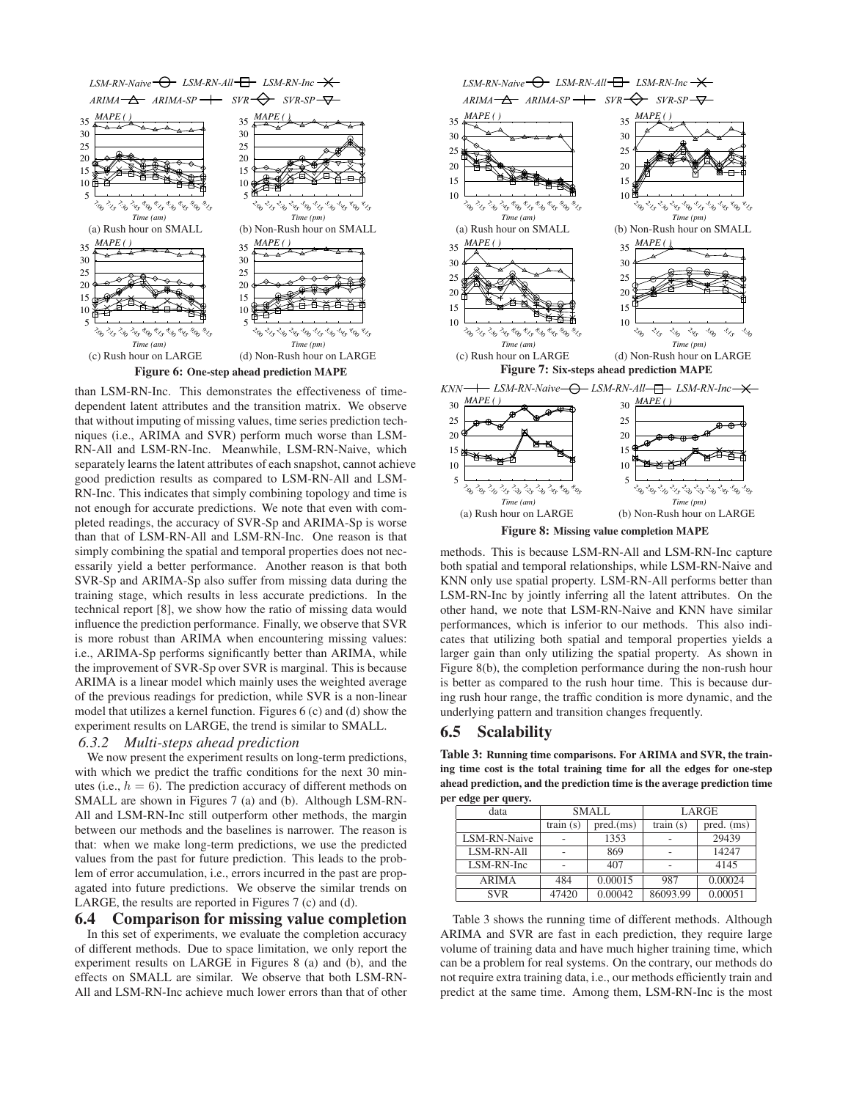



<span id="page-7-0"></span>than LSM-RN-Inc. This demonstrates the effectiveness of timedependent latent attributes and the transition matrix. We observe that without imputing of missing values, time series prediction techniques (i.e., ARIMA and SVR) perform much worse than LSM-RN-All and LSM-RN-Inc. Meanwhile, LSM-RN-Naive, which separately learns the latent attributes of each snapshot, cannot achieve good prediction results as compared to LSM-RN-All and LSM-RN-Inc. This indicates that simply combining topology and time is not enough for accurate predictions. We note that even with completed readings, the accuracy of SVR-Sp and ARIMA-Sp is worse than that of LSM-RN-All and LSM-RN-Inc. One reason is that simply combining the spatial and temporal properties does not necessarily yield a better performance. Another reason is that both SVR-Sp and ARIMA-Sp also suffer from missing data during the training stage, which results in less accurate predictions. In the technical report [\[8\]](#page-9-27), we show how the ratio of missing data would influence the prediction performance. Finally, we observe that SVR is more robust than ARIMA when encountering missing values: i.e., ARIMA-Sp performs significantly better than ARIMA, while the improvement of SVR-Sp over SVR is marginal. This is because ARIMA is a linear model which mainly uses the weighted average of the previous readings for prediction, while SVR is a non-linear model that utilizes a kernel function. Figures [6](#page-7-0) (c) and (d) show the experiment results on LARGE, the trend is similar to SMALL.

### *6.3.2 Multi-steps ahead prediction*

We now present the experiment results on long-term predictions, with which we predict the traffic conditions for the next 30 minutes (i.e.,  $h = 6$ ). The prediction accuracy of different methods on SMALL are shown in Figures [7](#page-7-1) (a) and (b). Although LSM-RN-All and LSM-RN-Inc still outperform other methods, the margin between our methods and the baselines is narrower. The reason is that: when we make long-term predictions, we use the predicted values from the past for future prediction. This leads to the problem of error accumulation, i.e., errors incurred in the past are propagated into future predictions. We observe the similar trends on LARGE, the results are reported in Figures [7](#page-7-1) (c) and (d).

## 6.4 Comparison for missing value completion

In this set of experiments, we evaluate the completion accuracy of different methods. Due to space limitation, we only report the experiment results on LARGE in Figures [8](#page-7-2) (a) and (b), and the effects on SMALL are similar. We observe that both LSM-RN-All and LSM-RN-Inc achieve much lower errors than that of other



<span id="page-7-2"></span><span id="page-7-1"></span>Figure 8: Missing value completion MAPE

methods. This is because LSM-RN-All and LSM-RN-Inc capture both spatial and temporal relationships, while LSM-RN-Naive and KNN only use spatial property. LSM-RN-All performs better than LSM-RN-Inc by jointly inferring all the latent attributes. On the other hand, we note that LSM-RN-Naive and KNN have similar performances, which is inferior to our methods. This also indicates that utilizing both spatial and temporal properties yields a larger gain than only utilizing the spatial property. As shown in Figure [8\(](#page-7-2)b), the completion performance during the non-rush hour is better as compared to the rush hour time. This is because during rush hour range, the traffic condition is more dynamic, and the underlying pattern and transition changes frequently.

## 6.5 Scalability

<span id="page-7-3"></span>Table 3: Running time comparisons. For ARIMA and SVR, the training time cost is the total training time for all the edges for one-step ahead prediction, and the prediction time is the average prediction time per edge per query.

| data         | <b>SMALL</b>             |          | LARGE    |              |
|--------------|--------------------------|----------|----------|--------------|
|              | train(s)                 | pred(ms) | train(s) | $pred.$ (ms) |
| LSM-RN-Naive |                          | 1353     |          | 29439        |
| LSM-RN-All   | $\overline{\phantom{0}}$ | 869      |          | 14247        |
| LSM-RN-Inc   |                          | 407      |          | 4145         |
| ARIMA        | 484                      | 0.00015  | 987      | 0.00024      |
| <b>SVR</b>   | 47420                    | 0.00042  | 86093.99 | 0.00051      |

Table [3](#page-7-3) shows the running time of different methods. Although ARIMA and SVR are fast in each prediction, they require large volume of training data and have much higher training time, which can be a problem for real systems. On the contrary, our methods do not require extra training data, i.e., our methods efficiently train and predict at the same time. Among them, LSM-RN-Inc is the most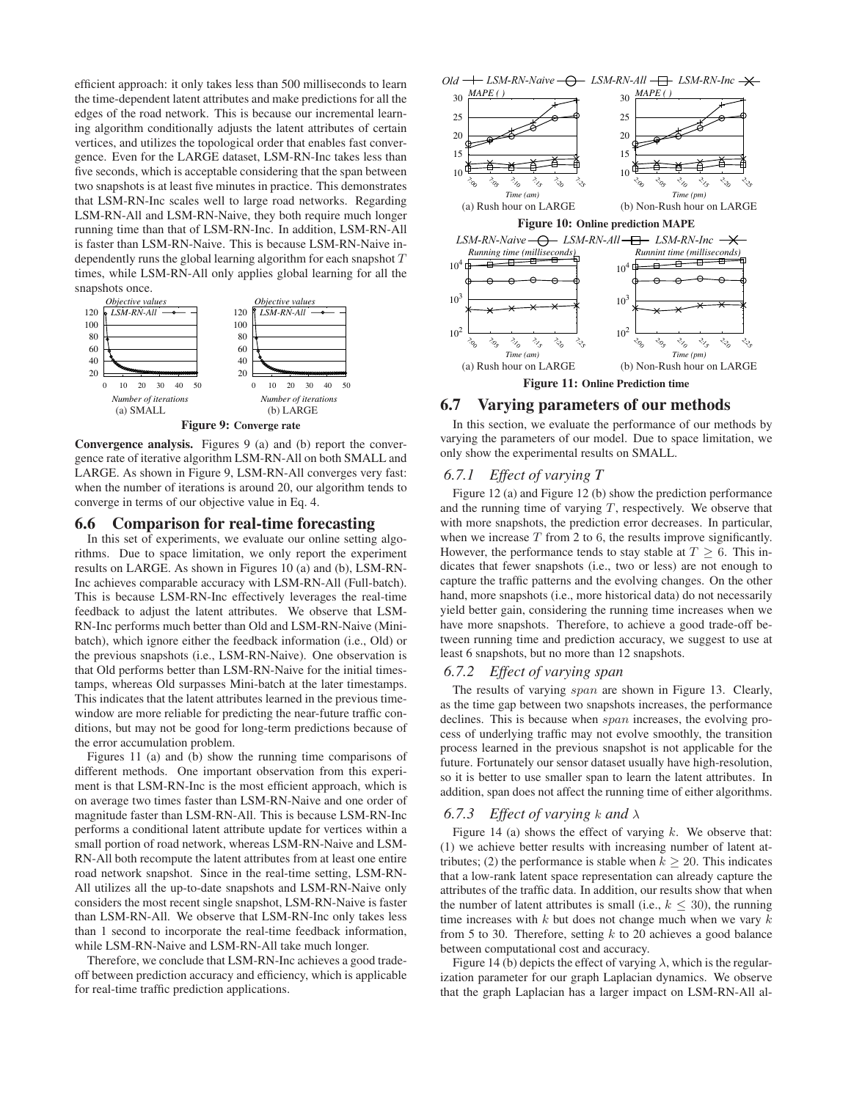efficient approach: it only takes less than 500 milliseconds to learn the time-dependent latent attributes and make predictions for all the edges of the road network. This is because our incremental learning algorithm conditionally adjusts the latent attributes of certain vertices, and utilizes the topological order that enables fast convergence. Even for the LARGE dataset, LSM-RN-Inc takes less than five seconds, which is acceptable considering that the span between two snapshots is at least five minutes in practice. This demonstrates that LSM-RN-Inc scales well to large road networks. Regarding LSM-RN-All and LSM-RN-Naive, they both require much longer running time than that of LSM-RN-Inc. In addition, LSM-RN-All is faster than LSM-RN-Naive. This is because LSM-RN-Naive independently runs the global learning algorithm for each snapshot  $T$ times, while LSM-RN-All only applies global learning for all the snapshots once.



<span id="page-8-0"></span>Convergence analysis. Figures [9](#page-8-0) (a) and (b) report the convergence rate of iterative algorithm LSM-RN-All on both SMALL and LARGE. As shown in Figure [9,](#page-8-0) LSM-RN-All converges very fast:

when the number of iterations is around 20, our algorithm tends to

### 6.6 Comparison for real-time forecasting

converge in terms of our objective value in Eq. [4.](#page-3-3)

In this set of experiments, we evaluate our online setting algorithms. Due to space limitation, we only report the experiment results on LARGE. As shown in Figures [10](#page-8-1) (a) and (b), LSM-RN-Inc achieves comparable accuracy with LSM-RN-All (Full-batch). This is because LSM-RN-Inc effectively leverages the real-time feedback to adjust the latent attributes. We observe that LSM-RN-Inc performs much better than Old and LSM-RN-Naive (Minibatch), which ignore either the feedback information (i.e., Old) or the previous snapshots (i.e., LSM-RN-Naive). One observation is that Old performs better than LSM-RN-Naive for the initial timestamps, whereas Old surpasses Mini-batch at the later timestamps. This indicates that the latent attributes learned in the previous timewindow are more reliable for predicting the near-future traffic conditions, but may not be good for long-term predictions because of the error accumulation problem.

Figures [11](#page-8-2) (a) and (b) show the running time comparisons of different methods. One important observation from this experiment is that LSM-RN-Inc is the most efficient approach, which is on average two times faster than LSM-RN-Naive and one order of magnitude faster than LSM-RN-All. This is because LSM-RN-Inc performs a conditional latent attribute update for vertices within a small portion of road network, whereas LSM-RN-Naive and LSM-RN-All both recompute the latent attributes from at least one entire road network snapshot. Since in the real-time setting, LSM-RN-All utilizes all the up-to-date snapshots and LSM-RN-Naive only considers the most recent single snapshot, LSM-RN-Naive is faster than LSM-RN-All. We observe that LSM-RN-Inc only takes less than 1 second to incorporate the real-time feedback information, while LSM-RN-Naive and LSM-RN-All take much longer.

Therefore, we conclude that LSM-RN-Inc achieves a good tradeoff between prediction accuracy and efficiency, which is applicable for real-time traffic prediction applications.



<span id="page-8-2"></span><span id="page-8-1"></span>Figure 11: Online Prediction time

### 6.7 Varying parameters of our methods

In this section, we evaluate the performance of our methods by varying the parameters of our model. Due to space limitation, we only show the experimental results on SMALL.

### *6.7.1 Effect of varying T*

Figure [12](#page-9-33) (a) and Figure [12](#page-9-33) (b) show the prediction performance and the running time of varying  $T$ , respectively. We observe that with more snapshots, the prediction error decreases. In particular, when we increase  $T$  from 2 to 6, the results improve significantly. However, the performance tends to stay stable at  $T \geq 6$ . This indicates that fewer snapshots (i.e., two or less) are not enough to capture the traffic patterns and the evolving changes. On the other hand, more snapshots (i.e., more historical data) do not necessarily yield better gain, considering the running time increases when we have more snapshots. Therefore, to achieve a good trade-off between running time and prediction accuracy, we suggest to use at least 6 snapshots, but no more than 12 snapshots.

## *6.7.2 Effect of varying span*

The results of varying *span* are shown in Figure [13.](#page-9-34) Clearly, as the time gap between two snapshots increases, the performance declines. This is because when *span* increases, the evolving process of underlying traffic may not evolve smoothly, the transition process learned in the previous snapshot is not applicable for the future. Fortunately our sensor dataset usually have high-resolution, so it is better to use smaller span to learn the latent attributes. In addition, span does not affect the running time of either algorithms.

## *6.7.3 Effect of varying* k *and* λ

Figure [14](#page-9-35) (a) shows the effect of varying  $k$ . We observe that: (1) we achieve better results with increasing number of latent attributes; (2) the performance is stable when  $k > 20$ . This indicates that a low-rank latent space representation can already capture the attributes of the traffic data. In addition, our results show that when the number of latent attributes is small (i.e.,  $k \leq 30$ ), the running time increases with  $k$  but does not change much when we vary  $k$ from 5 to 30. Therefore, setting  $k$  to 20 achieves a good balance between computational cost and accuracy.

Figure [14](#page-9-35) (b) depicts the effect of varying  $\lambda$ , which is the regularization parameter for our graph Laplacian dynamics. We observe that the graph Laplacian has a larger impact on LSM-RN-All al